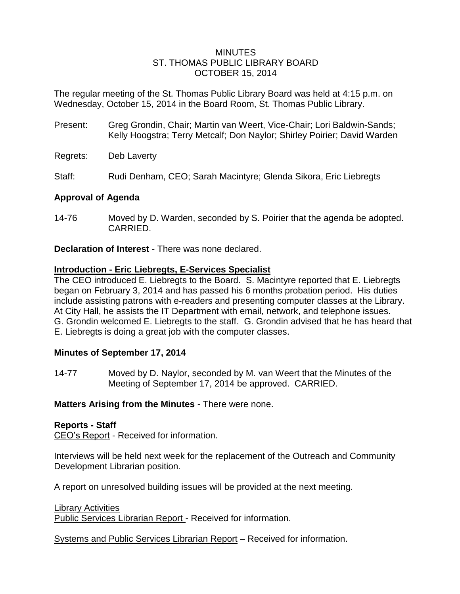### MINUTES ST. THOMAS PUBLIC LIBRARY BOARD OCTOBER 15, 2014

The regular meeting of the St. Thomas Public Library Board was held at 4:15 p.m. on Wednesday, October 15, 2014 in the Board Room, St. Thomas Public Library.

Present: Greg Grondin, Chair; Martin van Weert, Vice-Chair; Lori Baldwin-Sands; Kelly Hoogstra; Terry Metcalf; Don Naylor; Shirley Poirier; David Warden

Regrets: Deb Laverty

Staff: Rudi Denham, CEO; Sarah Macintyre; Glenda Sikora, Eric Liebregts

# **Approval of Agenda**

14-76 Moved by D. Warden, seconded by S. Poirier that the agenda be adopted. CARRIED.

**Declaration of Interest** - There was none declared.

# **Introduction - Eric Liebregts, E-Services Specialist**

The CEO introduced E. Liebregts to the Board. S. Macintyre reported that E. Liebregts began on February 3, 2014 and has passed his 6 months probation period. His duties include assisting patrons with e-readers and presenting computer classes at the Library. At City Hall, he assists the IT Department with email, network, and telephone issues. G. Grondin welcomed E. Liebregts to the staff. G. Grondin advised that he has heard that E. Liebregts is doing a great job with the computer classes.

# **Minutes of September 17, 2014**

14-77 Moved by D. Naylor, seconded by M. van Weert that the Minutes of the Meeting of September 17, 2014 be approved. CARRIED.

**Matters Arising from the Minutes** - There were none.

### **Reports - Staff**

CEO's Report - Received for information.

Interviews will be held next week for the replacement of the Outreach and Community Development Librarian position.

A report on unresolved building issues will be provided at the next meeting.

Library Activities

Public Services Librarian Report - Received for information.

Systems and Public Services Librarian Report – Received for information.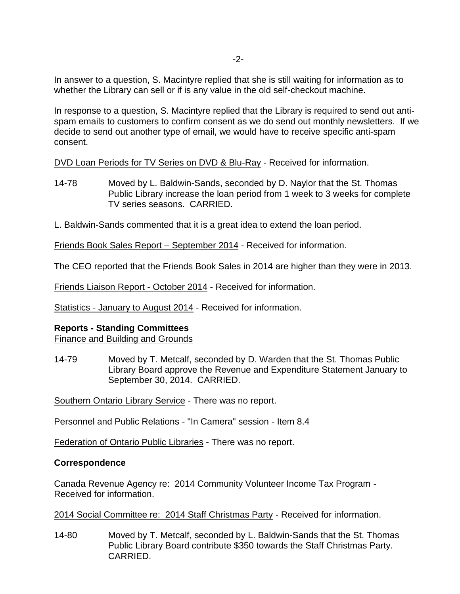In answer to a question, S. Macintyre replied that she is still waiting for information as to whether the Library can sell or if is any value in the old self-checkout machine.

In response to a question, S. Macintyre replied that the Library is required to send out antispam emails to customers to confirm consent as we do send out monthly newsletters. If we decide to send out another type of email, we would have to receive specific anti-spam consent.

DVD Loan Periods for TV Series on DVD & Blu-Ray - Received for information.

- 14-78 Moved by L. Baldwin-Sands, seconded by D. Naylor that the St. Thomas Public Library increase the loan period from 1 week to 3 weeks for complete TV series seasons. CARRIED.
- L. Baldwin-Sands commented that it is a great idea to extend the loan period.

Friends Book Sales Report – September 2014 - Received for information.

The CEO reported that the Friends Book Sales in 2014 are higher than they were in 2013.

Friends Liaison Report - October 2014 - Received for information.

Statistics - January to August 2014 - Received for information.

# **Reports - Standing Committees**

Finance and Building and Grounds

14-79 Moved by T. Metcalf, seconded by D. Warden that the St. Thomas Public Library Board approve the Revenue and Expenditure Statement January to September 30, 2014. CARRIED.

Southern Ontario Library Service - There was no report.

Personnel and Public Relations - "In Camera" session - Item 8.4

Federation of Ontario Public Libraries - There was no report.

# **Correspondence**

Canada Revenue Agency re: 2014 Community Volunteer Income Tax Program - Received for information.

2014 Social Committee re: 2014 Staff Christmas Party - Received for information.

14-80 Moved by T. Metcalf, seconded by L. Baldwin-Sands that the St. Thomas Public Library Board contribute \$350 towards the Staff Christmas Party. CARRIED.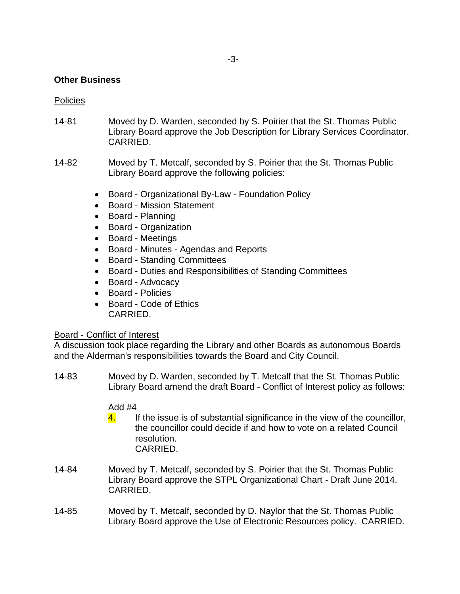## **Other Business**

#### **Policies**

- 14-81 Moved by D. Warden, seconded by S. Poirier that the St. Thomas Public Library Board approve the Job Description for Library Services Coordinator. CARRIED.
- 14-82 Moved by T. Metcalf, seconded by S. Poirier that the St. Thomas Public Library Board approve the following policies:
	- Board Organizational By-Law Foundation Policy
	- Board Mission Statement
	- Board Planning
	- Board Organization
	- Board Meetings
	- Board Minutes Agendas and Reports
	- Board Standing Committees
	- Board Duties and Responsibilities of Standing Committees
	- Board Advocacy
	- Board Policies
	- Board Code of Ethics CARRIED.

### Board - Conflict of Interest

A discussion took place regarding the Library and other Boards as autonomous Boards and the Alderman's responsibilities towards the Board and City Council.

14-83 Moved by D. Warden, seconded by T. Metcalf that the St. Thomas Public Library Board amend the draft Board - Conflict of Interest policy as follows:

# Add #4

- $\frac{4}{1}$  If the issue is of substantial significance in the view of the councillor, the councillor could decide if and how to vote on a related Council resolution. CARRIED.
- 14-84 Moved by T. Metcalf, seconded by S. Poirier that the St. Thomas Public Library Board approve the STPL Organizational Chart - Draft June 2014. CARRIED.
- 14-85 Moved by T. Metcalf, seconded by D. Naylor that the St. Thomas Public Library Board approve the Use of Electronic Resources policy. CARRIED.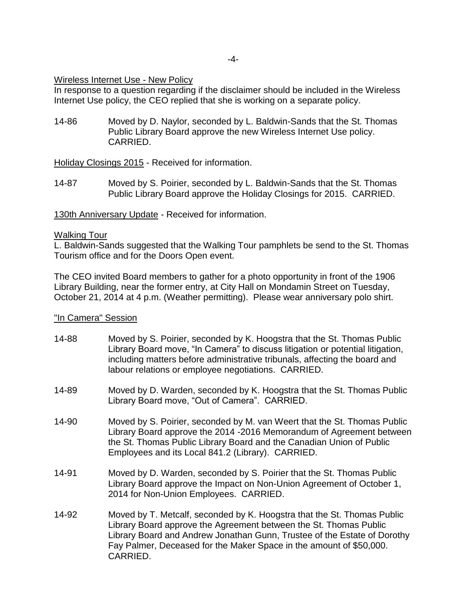Wireless Internet Use - New Policy

In response to a question regarding if the disclaimer should be included in the Wireless Internet Use policy, the CEO replied that she is working on a separate policy.

14-86 Moved by D. Naylor, seconded by L. Baldwin-Sands that the St. Thomas Public Library Board approve the new Wireless Internet Use policy. CARRIED.

Holiday Closings 2015 - Received for information.

14-87 Moved by S. Poirier, seconded by L. Baldwin-Sands that the St. Thomas Public Library Board approve the Holiday Closings for 2015. CARRIED.

130th Anniversary Update - Received for information.

### Walking Tour

L. Baldwin-Sands suggested that the Walking Tour pamphlets be send to the St. Thomas Tourism office and for the Doors Open event.

The CEO invited Board members to gather for a photo opportunity in front of the 1906 Library Building, near the former entry, at City Hall on Mondamin Street on Tuesday, October 21, 2014 at 4 p.m. (Weather permitting). Please wear anniversary polo shirt.

### "In Camera" Session

- 14-88 Moved by S. Poirier, seconded by K. Hoogstra that the St. Thomas Public Library Board move, "In Camera" to discuss litigation or potential litigation, including matters before administrative tribunals, affecting the board and labour relations or employee negotiations. CARRIED.
- 14-89 Moved by D. Warden, seconded by K. Hoogstra that the St. Thomas Public Library Board move, "Out of Camera". CARRIED.
- 14-90 Moved by S. Poirier, seconded by M. van Weert that the St. Thomas Public Library Board approve the 2014 -2016 Memorandum of Agreement between the St. Thomas Public Library Board and the Canadian Union of Public Employees and its Local 841.2 (Library). CARRIED.
- 14-91 Moved by D. Warden, seconded by S. Poirier that the St. Thomas Public Library Board approve the Impact on Non-Union Agreement of October 1, 2014 for Non-Union Employees. CARRIED.
- 14-92 Moved by T. Metcalf, seconded by K. Hoogstra that the St. Thomas Public Library Board approve the Agreement between the St. Thomas Public Library Board and Andrew Jonathan Gunn, Trustee of the Estate of Dorothy Fay Palmer, Deceased for the Maker Space in the amount of \$50,000. CARRIED.